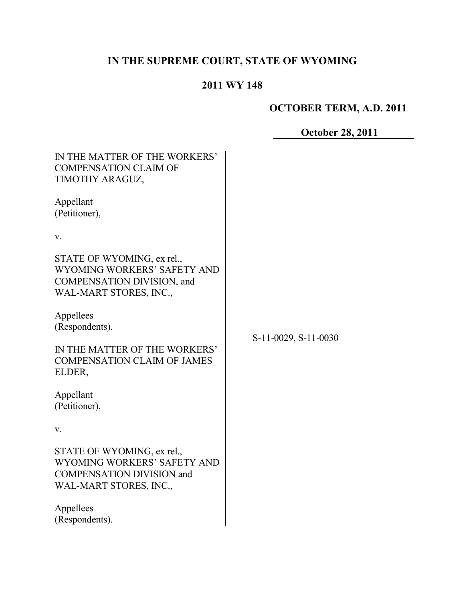# **IN THE SUPREME COURT, STATE OF WYOMING**

# **2011 WY 148**

# **OCTOBER TERM, A.D. 2011**

**October 28, 2011**

| IN THE MATTER OF THE WORKERS'<br><b>COMPENSATION CLAIM OF</b><br>TIMOTHY ARAGUZ,                                        |                      |
|-------------------------------------------------------------------------------------------------------------------------|----------------------|
| Appellant<br>(Petitioner),                                                                                              |                      |
| V.                                                                                                                      |                      |
| STATE OF WYOMING, ex rel.,<br>WYOMING WORKERS' SAFETY AND<br>COMPENSATION DIVISION, and<br>WAL-MART STORES, INC.,       |                      |
| Appellees<br>(Respondents).                                                                                             | S-11-0029, S-11-0030 |
| IN THE MATTER OF THE WORKERS'<br><b>COMPENSATION CLAIM OF JAMES</b><br>ELDER,                                           |                      |
| Appellant<br>(Petitioner),                                                                                              |                      |
| V.                                                                                                                      |                      |
| STATE OF WYOMING, ex rel.,<br>WYOMING WORKERS' SAFETY AND<br><b>COMPENSATION DIVISION and</b><br>WAL-MART STORES, INC., |                      |
| Appellees<br>(Respondents).                                                                                             |                      |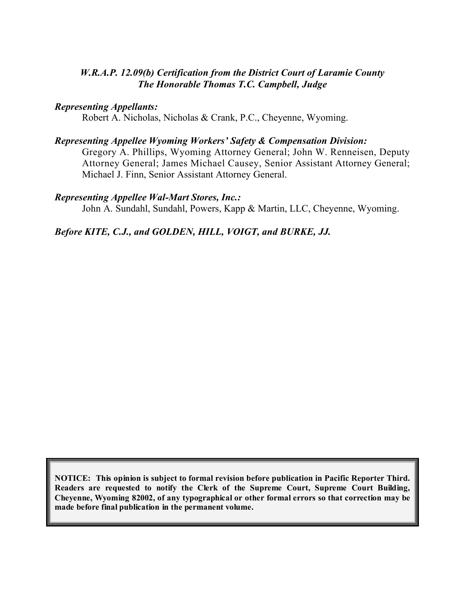### *W.R.A.P. 12.09(b) Certification from the District Court of Laramie County The Honorable Thomas T.C. Campbell, Judge*

#### *Representing Appellants:*

Robert A. Nicholas, Nicholas & Crank, P.C., Cheyenne, Wyoming.

#### *Representing Appellee Wyoming Workers' Safety & Compensation Division:*

Gregory A. Phillips, Wyoming Attorney General; John W. Renneisen, Deputy Attorney General; James Michael Causey, Senior Assistant Attorney General; Michael J. Finn, Senior Assistant Attorney General.

#### *Representing Appellee Wal-Mart Stores, Inc.:*

John A. Sundahl, Sundahl, Powers, Kapp & Martin, LLC, Cheyenne, Wyoming.

#### *Before KITE, C.J., and GOLDEN, HILL, VOIGT, and BURKE, JJ.*

**NOTICE: This opinion is subject to formal revision before publication in Pacific Reporter Third. Readers are requested to notify the Clerk of the Supreme Court, Supreme Court Building, Cheyenne, Wyoming 82002, of any typographical or other formal errors so that correction may be made before final publication in the permanent volume.**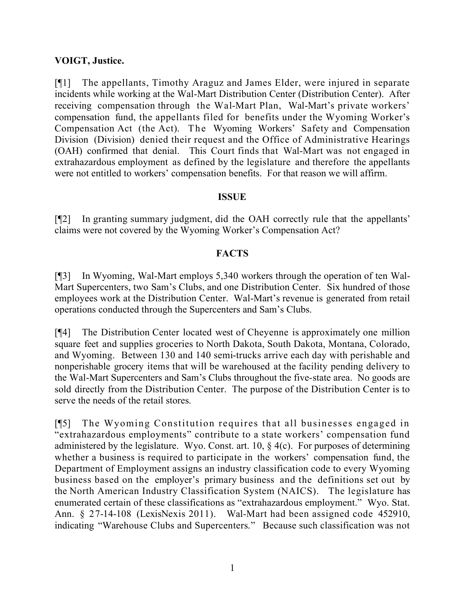### **VOIGT, Justice.**

[¶1] The appellants, Timothy Araguz and James Elder, were injured in separate incidents while working at the Wal-Mart Distribution Center (Distribution Center). After receiving compensation through the Wal-Mart Plan, Wal-Mart's private workers' compensation fund, the appellants filed for benefits under the Wyoming Worker's Compensation Act (the Act). The Wyoming Workers' Safety and Compensation Division (Division) denied their request and the Office of Administrative Hearings (OAH) confirmed that denial. This Court finds that Wal-Mart was not engaged in extrahazardous employment as defined by the legislature and therefore the appellants were not entitled to workers' compensation benefits. For that reason we will affirm.

#### **ISSUE**

[¶2] In granting summary judgment, did the OAH correctly rule that the appellants' claims were not covered by the Wyoming Worker's Compensation Act?

### **FACTS**

[¶3] In Wyoming, Wal-Mart employs 5,340 workers through the operation of ten Wal-Mart Supercenters, two Sam's Clubs, and one Distribution Center. Six hundred of those employees work at the Distribution Center. Wal-Mart's revenue is generated from retail operations conducted through the Supercenters and Sam's Clubs.

[¶4] The Distribution Center located west of Cheyenne is approximately one million square feet and supplies groceries to North Dakota, South Dakota, Montana, Colorado, and Wyoming. Between 130 and 140 semi-trucks arrive each day with perishable and nonperishable grocery items that will be warehoused at the facility pending delivery to the Wal-Mart Supercenters and Sam's Clubs throughout the five-state area. No goods are sold directly from the Distribution Center. The purpose of the Distribution Center is to serve the needs of the retail stores.

[¶5] The Wyoming Constitution requires that all businesses engaged in "extrahazardous employments" contribute to a state workers' compensation fund administered by the legislature. Wyo. Const. art. 10, § 4(c). For purposes of determining whether a business is required to participate in the workers' compensation fund, the Department of Employment assigns an industry classification code to every Wyoming business based on the employer's primary business and the definitions set out by the North American Industry Classification System (NAICS). The legislature has enumerated certain of these classifications as "extrahazardous employment." Wyo. Stat. Ann. § 27-14-108 (LexisNexis 2011). Wal-Mart had been assigned code 452910, indicating "Warehouse Clubs and Supercenters." Because such classification was not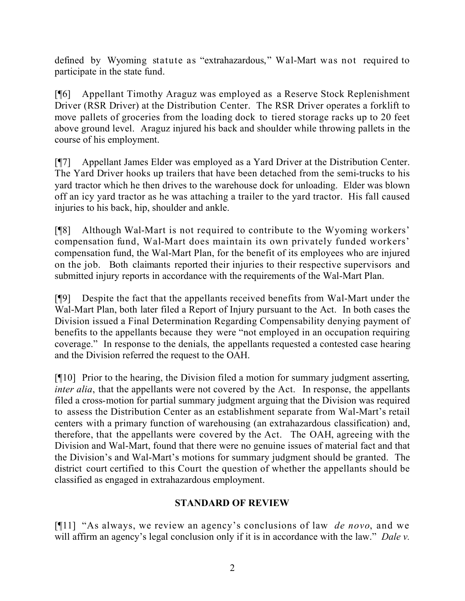defined by Wyoming statute as "extrahazardous," Wal-Mart was not required to participate in the state fund.

[¶6] Appellant Timothy Araguz was employed as a Reserve Stock Replenishment Driver (RSR Driver) at the Distribution Center. The RSR Driver operates a forklift to move pallets of groceries from the loading dock to tiered storage racks up to 20 feet above ground level. Araguz injured his back and shoulder while throwing pallets in the course of his employment.

[¶7] Appellant James Elder was employed as a Yard Driver at the Distribution Center. The Yard Driver hooks up trailers that have been detached from the semi-trucks to his yard tractor which he then drives to the warehouse dock for unloading. Elder was blown off an icy yard tractor as he was attaching a trailer to the yard tractor. His fall caused injuries to his back, hip, shoulder and ankle.

[¶8] Although Wal-Mart is not required to contribute to the Wyoming workers' compensation fund, Wal-Mart does maintain its own privately funded workers' compensation fund, the Wal-Mart Plan, for the benefit of its employees who are injured on the job. Both claimants reported their injuries to their respective supervisors and submitted injury reports in accordance with the requirements of the Wal-Mart Plan.

[¶9] Despite the fact that the appellants received benefits from Wal-Mart under the Wal-Mart Plan, both later filed a Report of Injury pursuant to the Act. In both cases the Division issued a Final Determination Regarding Compensability denying payment of benefits to the appellants because they were "not employed in an occupation requiring coverage." In response to the denials, the appellants requested a contested case hearing and the Division referred the request to the OAH.

[¶10] Prior to the hearing, the Division filed a motion for summary judgment asserting, *inter alia*, that the appellants were not covered by the Act. In response, the appellants filed a cross-motion for partial summary judgment arguing that the Division was required to assess the Distribution Center as an establishment separate from Wal-Mart's retail centers with a primary function of warehousing (an extrahazardous classification) and, therefore, that the appellants were covered by the Act. The OAH, agreeing with the Division and Wal-Mart, found that there were no genuine issues of material fact and that the Division's and Wal-Mart's motions for summary judgment should be granted. The district court certified to this Court the question of whether the appellants should be classified as engaged in extrahazardous employment.

### **STANDARD OF REVIEW**

[¶11] "As always, we review an agency's conclusions of law *de novo*, and we will affirm an agency's legal conclusion only if it is in accordance with the law." *Dale v.*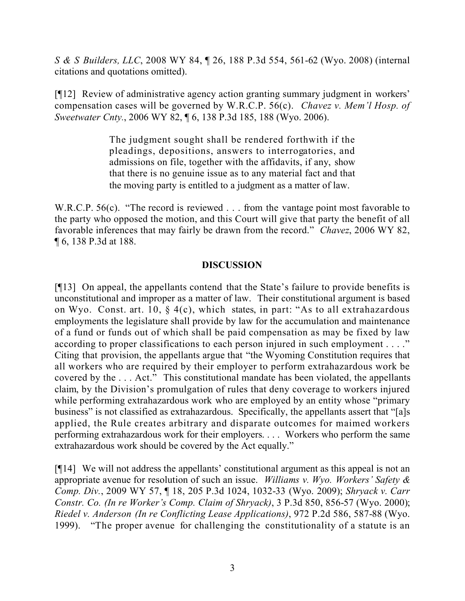*S & S Builders, LLC*, 2008 WY 84, ¶ 26, 188 P.3d 554, 561-62 (Wyo. 2008) (internal citations and quotations omitted).

[¶12] Review of administrative agency action granting summary judgment in workers' compensation cases will be governed by W.R.C.P. 56(c). *Chavez v. Mem'l Hosp. of Sweetwater Cnty.*, 2006 WY 82, ¶ 6, 138 P.3d 185, 188 (Wyo. 2006).

> The judgment sought shall be rendered forthwith if the pleadings, depositions, answers to interrogatories, and admissions on file, together with the affidavits, if any, show that there is no genuine issue as to any material fact and that the moving party is entitled to a judgment as a matter of law.

W.R.C.P. 56(c). "The record is reviewed . . . from the vantage point most favorable to the party who opposed the motion, and this Court will give that party the benefit of all favorable inferences that may fairly be drawn from the record." *Chavez*, 2006 WY 82, ¶ 6, 138 P.3d at 188.

## **DISCUSSION**

[¶13] On appeal, the appellants contend that the State's failure to provide benefits is unconstitutional and improper as a matter of law. Their constitutional argument is based on Wyo. Const. art. 10,  $\S$  4(c), which states, in part: "As to all extrahazardous employments the legislature shall provide by law for the accumulation and maintenance of a fund or funds out of which shall be paid compensation as may be fixed by law according to proper classifications to each person injured in such employment . . . ." Citing that provision, the appellants argue that "the Wyoming Constitution requires that all workers who are required by their employer to perform extrahazardous work be covered by the . . . Act." This constitutional mandate has been violated, the appellants claim, by the Division's promulgation of rules that deny coverage to workers injured while performing extrahazardous work who are employed by an entity whose "primary" business" is not classified as extrahazardous. Specifically, the appellants assert that "[a]s applied, the Rule creates arbitrary and disparate outcomes for maimed workers performing extrahazardous work for their employers. . . . Workers who perform the same extrahazardous work should be covered by the Act equally."

[¶14] We will not address the appellants' constitutional argument as this appeal is not an appropriate avenue for resolution of such an issue. *Williams v. Wyo. Workers' Safety & Comp. Div.*, 2009 WY 57, ¶ 18, 205 P.3d 1024, 1032-33 (Wyo. 2009); *Shryack v. Carr Constr. Co. (In re Worker's Comp. Claim of Shryack)*, 3 P.3d 850, 856-57 (Wyo. 2000); *Riedel v. Anderson (In re Conflicting Lease Applications)*, 972 P.2d 586, 587-88 (Wyo. 1999). "The proper avenue for challenging the constitutionality of a statute is an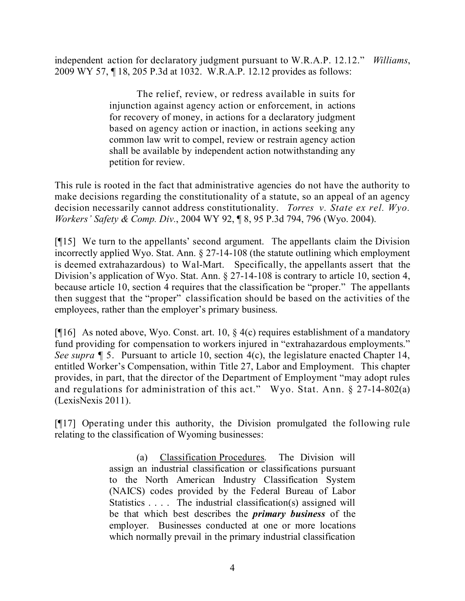independent action for declaratory judgment pursuant to W.R.A.P. 12.12." *Williams*, 2009 WY 57, ¶ 18, 205 P.3d at 1032. W.R.A.P. 12.12 provides as follows:

> The relief, review, or redress available in suits for injunction against agency action or enforcement, in actions for recovery of money, in actions for a declaratory judgment based on agency action or inaction, in actions seeking any common law writ to compel, review or restrain agency action shall be available by independent action notwithstanding any petition for review.

This rule is rooted in the fact that administrative agencies do not have the authority to make decisions regarding the constitutionality of a statute, so an appeal of an agency decision necessarily cannot address constitutionality. *Torres v. State ex rel. Wyo. Workers' Safety & Comp. Div.*, 2004 WY 92, ¶ 8, 95 P.3d 794, 796 (Wyo. 2004).

[¶15] We turn to the appellants' second argument. The appellants claim the Division incorrectly applied Wyo. Stat. Ann. § 27-14-108 (the statute outlining which employment is deemed extrahazardous) to Wal-Mart. Specifically, the appellants assert that the Division's application of Wyo. Stat. Ann. § 27-14-108 is contrary to article 10, section 4, because article 10, section 4 requires that the classification be "proper." The appellants then suggest that the "proper" classification should be based on the activities of the employees, rather than the employer's primary business.

[ $[16]$  As noted above, Wyo. Const. art. 10, § 4(c) requires establishment of a mandatory fund providing for compensation to workers injured in "extrahazardous employments." *See supra*  $\boxed{5}$ . Pursuant to article 10, section 4(c), the legislature enacted Chapter 14, entitled Worker's Compensation, within Title 27, Labor and Employment. This chapter provides, in part, that the director of the Department of Employment "may adopt rules and regulations for administration of this act." Wyo. Stat. Ann. § 27-14-802(a) (LexisNexis 2011).

[¶17] Operating under this authority, the Division promulgated the following rule relating to the classification of Wyoming businesses:

> (a) Classification Procedures. The Division will assign an industrial classification or classifications pursuant to the North American Industry Classification System (NAICS) codes provided by the Federal Bureau of Labor Statistics . . . . The industrial classification(s) assigned will be that which best describes the *primary business* of the employer. Businesses conducted at one or more locations which normally prevail in the primary industrial classification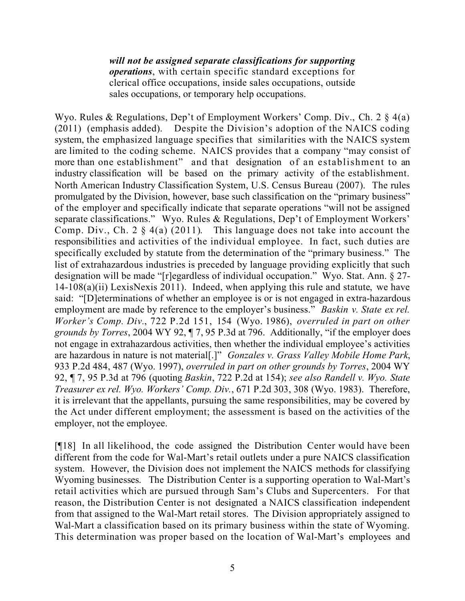*will not be assigned separate classifications for supporting operations*, with certain specific standard exceptions for clerical office occupations, inside sales occupations, outside sales occupations, or temporary help occupations.

Wyo. Rules & Regulations, Dep't of Employment Workers' Comp. Div., Ch. 2  $\S$  4(a) (2011) (emphasis added). Despite the Division's adoption of the NAICS coding system, the emphasized language specifies that similarities with the NAICS system are limited to the coding scheme. NAICS provides that a company "may consist of more than one establishment" and that designation of an establishment to an industry classification will be based on the primary activity of the establishment. North American Industry Classification System, U.S. Census Bureau (2007). The rules promulgated by the Division, however, base such classification on the "primary business" of the employer and specifically indicate that separate operations "will not be assigned separate classifications." Wyo. Rules & Regulations, Dep't of Employment Workers' Comp. Div., Ch. 2 § 4(a) (2011). This language does not take into account the responsibilities and activities of the individual employee. In fact, such duties are specifically excluded by statute from the determination of the "primary business." The list of extrahazardous industries is preceded by language providing explicitly that such designation will be made "[r]egardless of individual occupation." Wyo. Stat. Ann. § 27- 14-108(a)(ii) LexisNexis 2011). Indeed, when applying this rule and statute, we have said: "[D]eterminations of whether an employee is or is not engaged in extra-hazardous employment are made by reference to the employer's business." *Baskin v. State ex rel. Worker's Comp. Div.*, 722 P.2d 151, 154 (Wyo. 1986), *overruled in part on other grounds by Torres*, 2004 WY 92, ¶ 7, 95 P.3d at 796. Additionally, "if the employer does not engage in extrahazardous activities, then whether the individual employee's activities are hazardous in nature is not material[.]" *Gonzales v. Grass Valley Mobile Home Park*, 933 P.2d 484, 487 (Wyo. 1997), *overruled in part on other grounds by Torres*, 2004 WY 92, ¶ 7, 95 P.3d at 796 (quoting *Baskin*, 722 P.2d at 154); *see also Randell v. Wyo. State Treasurer ex rel. Wyo. Workers' Comp. Div.*, 671 P.2d 303, 308 (Wyo. 1983). Therefore, it is irrelevant that the appellants, pursuing the same responsibilities, may be covered by the Act under different employment; the assessment is based on the activities of the employer, not the employee.

[¶18] In all likelihood, the code assigned the Distribution Center would have been different from the code for Wal-Mart's retail outlets under a pure NAICS classification system. However, the Division does not implement the NAICS methods for classifying Wyoming businesses. The Distribution Center is a supporting operation to Wal-Mart's retail activities which are pursued through Sam's Clubs and Supercenters. For that reason, the Distribution Center is not designated a NAICS classification independent from that assigned to the Wal-Mart retail stores. The Division appropriately assigned to Wal-Mart a classification based on its primary business within the state of Wyoming. This determination was proper based on the location of Wal-Mart's employees and